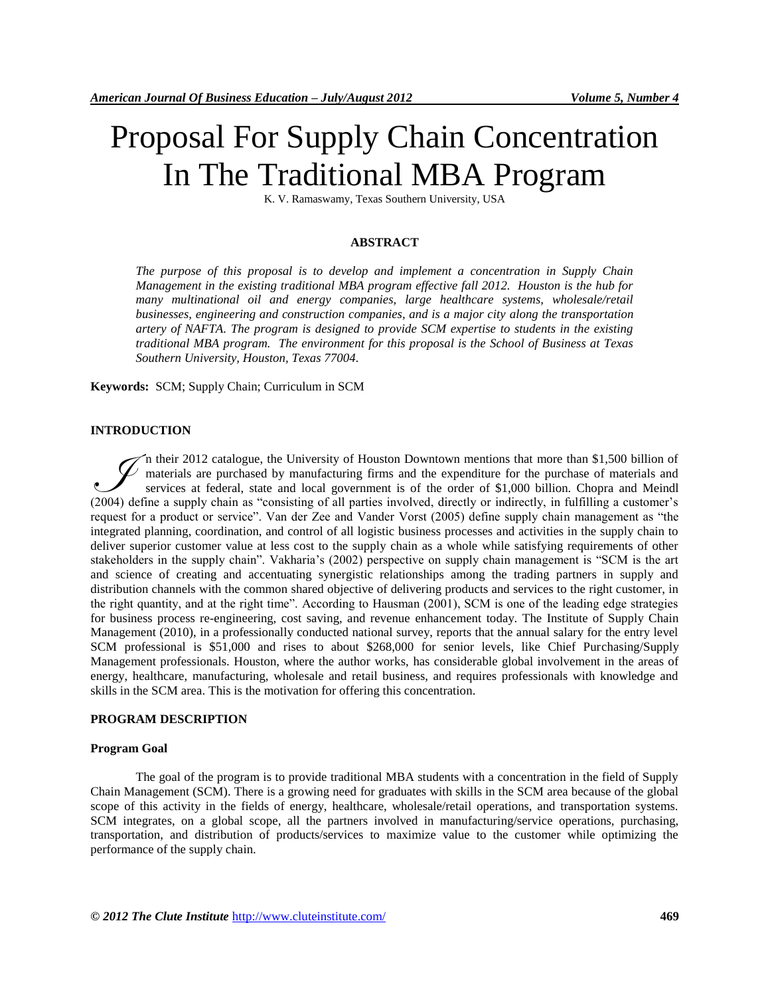# Proposal For Supply Chain Concentration In The Traditional MBA Program

K. V. Ramaswamy, Texas Southern University, USA

#### **ABSTRACT**

*The purpose of this proposal is to develop and implement a concentration in Supply Chain Management in the existing traditional MBA program effective fall 2012. Houston is the hub for many multinational oil and energy companies, large healthcare systems, wholesale/retail businesses, engineering and construction companies, and is a major city along the transportation artery of NAFTA. The program is designed to provide SCM expertise to students in the existing traditional MBA program. The environment for this proposal is the School of Business at Texas Southern University, Houston, Texas 77004.*

**Keywords:** SCM; Supply Chain; Curriculum in SCM

#### **INTRODUCTION**

n their 2012 catalogue, the University of Houston Downtown mentions that more than \$1,500 billion of  $\vee$  materials are purchased by manufacturing firms and the expenditure for the purchase of materials and services at federal, state and local government is of the order of \$1,000 billion. Chopra and Meindl The fit and government of Houston Downtown mentions that more than \$1,500 billion of materials are purchased by manufacturing firms and the expenditure for the purchase of materials and services at federal, state and local request for a product or service". Van der Zee and Vander Vorst (2005) define supply chain management as "the integrated planning, coordination, and control of all logistic business processes and activities in the supply chain to deliver superior customer value at less cost to the supply chain as a whole while satisfying requirements of other stakeholders in the supply chain". Vakharia's (2002) perspective on supply chain management is "SCM is the art and science of creating and accentuating synergistic relationships among the trading partners in supply and distribution channels with the common shared objective of delivering products and services to the right customer, in the right quantity, and at the right time". According to Hausman (2001), SCM is one of the leading edge strategies for business process re-engineering, cost saving, and revenue enhancement today. The Institute of Supply Chain Management (2010), in a professionally conducted national survey, reports that the annual salary for the entry level SCM professional is \$51,000 and rises to about \$268,000 for senior levels, like Chief Purchasing/Supply Management professionals. Houston, where the author works, has considerable global involvement in the areas of energy, healthcare, manufacturing, wholesale and retail business, and requires professionals with knowledge and skills in the SCM area. This is the motivation for offering this concentration.

#### **PROGRAM DESCRIPTION**

#### **Program Goal**

The goal of the program is to provide traditional MBA students with a concentration in the field of Supply Chain Management (SCM). There is a growing need for graduates with skills in the SCM area because of the global scope of this activity in the fields of energy, healthcare, wholesale/retail operations, and transportation systems. SCM integrates, on a global scope, all the partners involved in manufacturing/service operations, purchasing, transportation, and distribution of products/services to maximize value to the customer while optimizing the performance of the supply chain.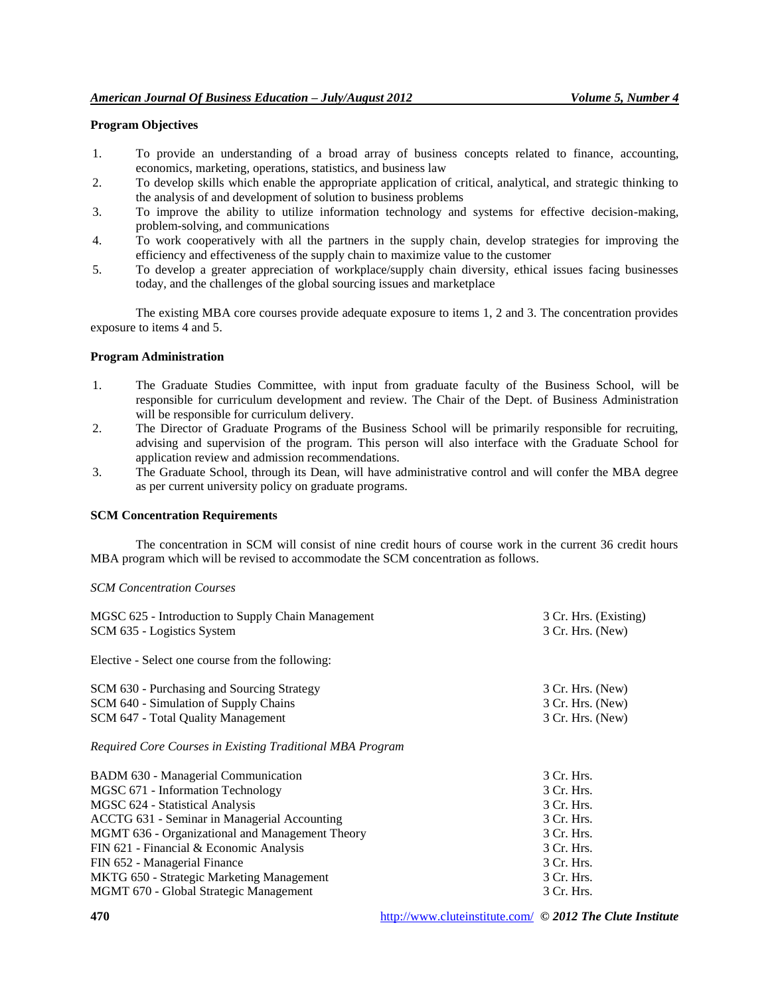# **Program Objectives**

- 1. To provide an understanding of a broad array of business concepts related to finance, accounting, economics, marketing, operations, statistics, and business law
- 2. To develop skills which enable the appropriate application of critical, analytical, and strategic thinking to the analysis of and development of solution to business problems
- 3. To improve the ability to utilize information technology and systems for effective decision-making, problem-solving, and communications
- 4. To work cooperatively with all the partners in the supply chain, develop strategies for improving the efficiency and effectiveness of the supply chain to maximize value to the customer
- 5. To develop a greater appreciation of workplace/supply chain diversity, ethical issues facing businesses today, and the challenges of the global sourcing issues and marketplace

The existing MBA core courses provide adequate exposure to items 1, 2 and 3. The concentration provides exposure to items 4 and 5.

#### **Program Administration**

- 1. The Graduate Studies Committee, with input from graduate faculty of the Business School, will be responsible for curriculum development and review. The Chair of the Dept. of Business Administration will be responsible for curriculum delivery.
- 2. The Director of Graduate Programs of the Business School will be primarily responsible for recruiting, advising and supervision of the program. This person will also interface with the Graduate School for application review and admission recommendations.
- 3. The Graduate School, through its Dean, will have administrative control and will confer the MBA degree as per current university policy on graduate programs.

#### **SCM Concentration Requirements**

The concentration in SCM will consist of nine credit hours of course work in the current 36 credit hours MBA program which will be revised to accommodate the SCM concentration as follows.

#### *SCM Concentration Courses*

| MGSC 625 - Introduction to Supply Chain Management        | 3 Cr. Hrs. (Existing) |
|-----------------------------------------------------------|-----------------------|
| SCM 635 - Logistics System                                | 3 Cr. Hrs. (New)      |
| Elective - Select one course from the following:          |                       |
| SCM 630 - Purchasing and Sourcing Strategy                | 3 Cr. Hrs. (New)      |
| SCM 640 - Simulation of Supply Chains                     | 3 Cr. Hrs. (New)      |
| SCM 647 - Total Quality Management                        | 3 Cr. Hrs. (New)      |
| Required Core Courses in Existing Traditional MBA Program |                       |
| BADM 630 - Managerial Communication                       | 3 Cr. Hrs.            |
| MGSC 671 - Information Technology                         | 3 Cr. Hrs.            |
| MGSC 624 - Statistical Analysis                           | 3 Cr. Hrs.            |
| ACCTG 631 - Seminar in Managerial Accounting              | 3 Cr. Hrs.            |
| MGMT 636 - Organizational and Management Theory           | 3 Cr. Hrs.            |
| FIN 621 - Financial & Economic Analysis                   | 3 Cr. Hrs.            |
| FIN 652 - Managerial Finance                              | 3 Cr. Hrs.            |
| MKTG 650 - Strategic Marketing Management                 | 3 Cr. Hrs.            |
| MGMT 670 - Global Strategic Management                    | 3 Cr. Hrs.            |
|                                                           |                       |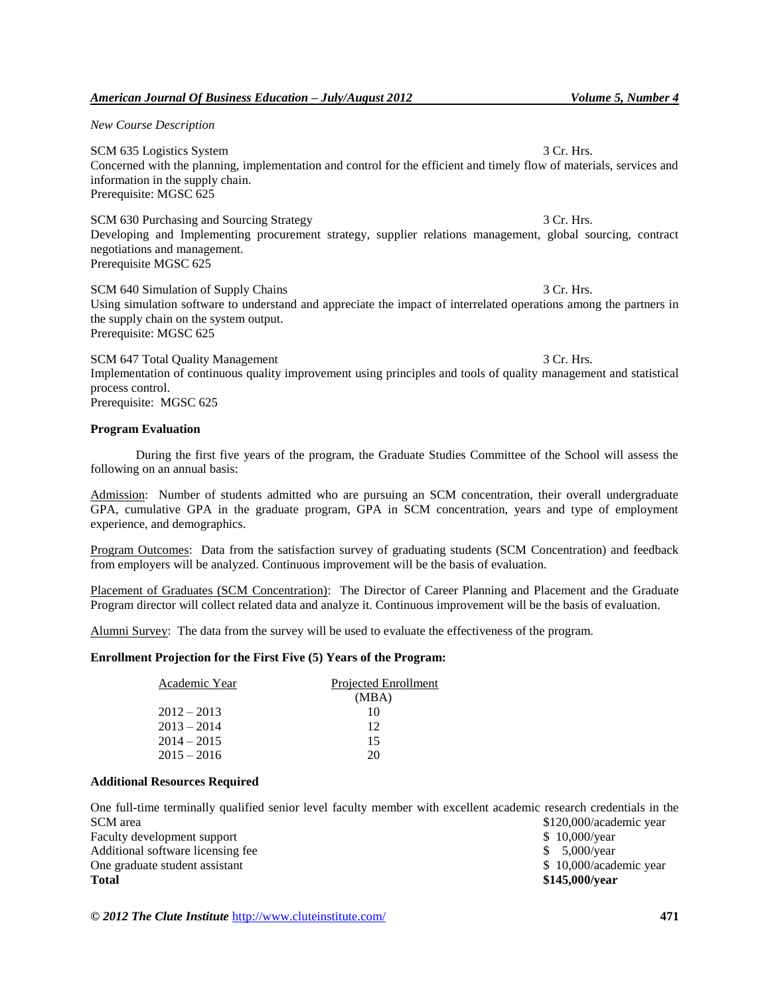# *American Journal Of Business Education – July/August 2012 Volume 5, Number 4*

*New Course Description*

SCM 635 Logistics System 3 Cr. Hrs. 3 Cr. Hrs. Concerned with the planning, implementation and control for the efficient and timely flow of materials, services and information in the supply chain. Prerequisite: MGSC 625

SCM 630 Purchasing and Sourcing Strategy 3 Cr. Hrs. 3 Cr. Hrs. Developing and Implementing procurement strategy, supplier relations management, global sourcing, contract negotiations and management. Prerequisite MGSC 625

SCM 640 Simulation of Supply Chains 3 Cr. Hrs. 3 Cr. Hrs. Using simulation software to understand and appreciate the impact of interrelated operations among the partners in the supply chain on the system output. Prerequisite: MGSC 625

SCM 647 Total Quality Management 3 Cr. Hrs. 3 Cr. Hrs. Implementation of continuous quality improvement using principles and tools of quality management and statistical process control. Prerequisite: MGSC 625

# **Program Evaluation**

During the first five years of the program, the Graduate Studies Committee of the School will assess the following on an annual basis:

Admission: Number of students admitted who are pursuing an SCM concentration, their overall undergraduate GPA, cumulative GPA in the graduate program, GPA in SCM concentration, years and type of employment experience, and demographics.

Program Outcomes: Data from the satisfaction survey of graduating students (SCM Concentration) and feedback from employers will be analyzed. Continuous improvement will be the basis of evaluation.

Placement of Graduates (SCM Concentration): The Director of Career Planning and Placement and the Graduate Program director will collect related data and analyze it. Continuous improvement will be the basis of evaluation.

Alumni Survey: The data from the survey will be used to evaluate the effectiveness of the program.

#### **Enrollment Projection for the First Five (5) Years of the Program:**

| Academic Year | Projected Enrollment |
|---------------|----------------------|
|               | (MBA)                |
| $2012 - 2013$ | 10                   |
| $2013 - 2014$ | 12                   |
| $2014 - 2015$ | 15                   |
| $2015 - 2016$ | 20                   |

#### **Additional Resources Required**

One full-time terminally qualified senior level faculty member with excellent academic research credentials in the SCM area  $$120,000/a$ cademic year

Faculty development support  $\frac{1}{2}$  10,000/year Additional software licensing fee  $$5,000/year$ One graduate student assistant  $$ 10,000/a$ cademic year **Total \$145,000/year**